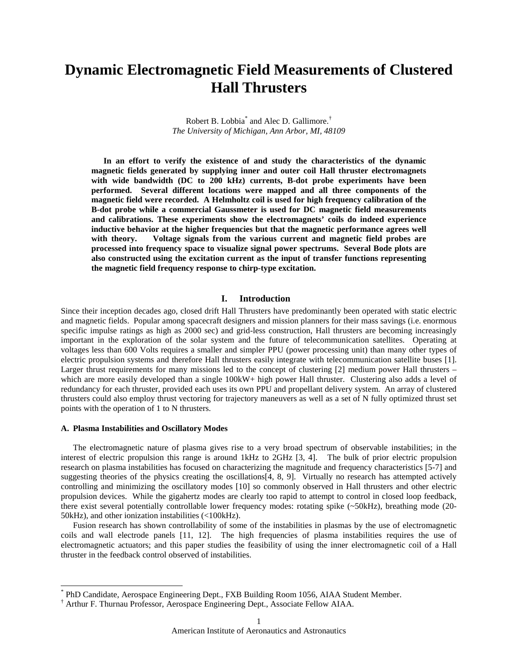# **Dynamic Electromagnetic Field Measurements of Clustered Hall Thrusters**

Robert B. Lobbia<sup>\*</sup> and Alec D. Gallimore.<sup>†</sup> *The University of Michigan, Ann Arbor, MI, 48109*

**In an effort to verify the existence of and study the characteristics of the dynamic magnetic fields generated by supplying inner and outer coil Hall thruster electromagnets with wide bandwidth (DC to 200 kHz) currents, B-dot probe experiments have been performed. Several different locations were mapped and all three components of the magnetic field were recorded. A Helmholtz coil is used for high frequency calibration of the B-dot probe while a commercial Gaussmeter is used for DC magnetic field measurements and calibrations. These experiments show the electromagnets' coils do indeed experience inductive behavior at the higher frequencies but that the magnetic performance agrees well with theory. Voltage signals from the various current and magnetic field probes are processed into frequency space to visualize signal power spectrums. Several Bode plots are also constructed using the excitation current as the input of transfer functions representing the magnetic field frequency response to chirp-type excitation.**

## **I. Introduction**

Since their inception decades ago, closed drift Hall Thrusters have predominantly been operated with static electric and magnetic fields. Popular among spacecraft designers and mission planners for their mass savings (i.e. enormous specific impulse ratings as high as 2000 sec) and grid-less construction, Hall thrusters are becoming increasingly important in the exploration of the solar system and the future of telecommunication satellites. Operating at voltages less than 600 Volts requires a smaller and simpler PPU (power processing unit) than many other types of electric propulsion systems and therefore Hall thrusters easily integrate with telecommunication satellite buses [1]. Larger thrust requirements for many missions led to the concept of clustering [2] medium power Hall thrusters – which are more easily developed than a single 100kW+ high power Hall thruster. Clustering also adds a level of redundancy for each thruster, provided each uses its own PPU and propellant delivery system. An array of clustered thrusters could also employ thrust vectoring for trajectory maneuvers as well as a set of N fully optimized thrust set points with the operation of 1 to N thrusters.

#### **A. Plasma Instabilities and Oscillatory Modes**

The electromagnetic nature of plasma gives rise to a very broad spectrum of observable instabilities; in the interest of electric propulsion this range is around 1kHz to 2GHz [3, 4]. The bulk of prior electric propulsion research on plasma instabilities has focused on characterizing the magnitude and frequency characteristics [5-7] and suggesting theories of the physics creating the oscillations<sup>[4, 8, 9]</sup>. Virtually no research has attempted actively controlling and minimizing the oscillatory modes [10] so commonly observed in Hall thrusters and other electric propulsion devices. While the gigahertz modes are clearly too rapid to attempt to control in closed loop feedback, there exist several potentially controllable lower frequency modes: rotating spike (~50kHz), breathing mode (20- 50kHz), and other ionization instabilities (<100kHz).

Fusion research has shown controllability of some of the instabilities in plasmas by the use of electromagnetic coils and wall electrode panels [11, 12]. The high frequencies of plasma instabilities requires the use of electromagnetic actuators; and this paper studies the feasibility of using the inner electromagnetic coil of a Hall thruster in the feedback control observed of instabilities.

<sup>\*</sup> PhD Candidate, Aerospace Engineering Dept., FXB Building Room 1056, AIAA Student Member. †<br>† Arthur F. Thurnau Professor, Aerospace Engineering Dept., Associate Fellow AIAA.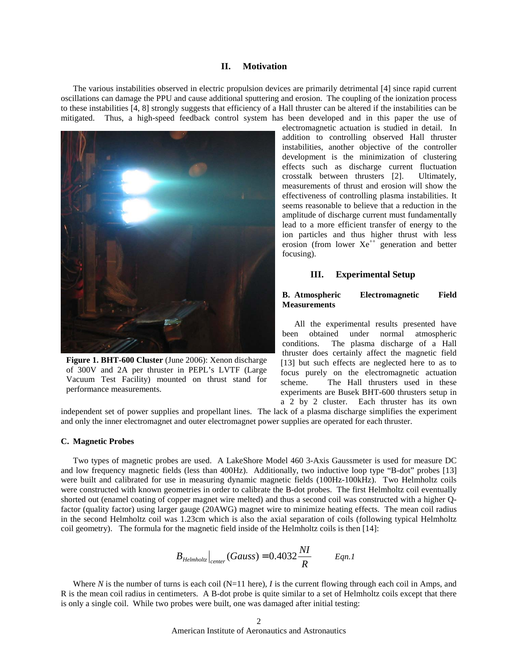#### **II. Motivation**

The various instabilities observed in electric propulsion devices are primarily detrimental [4] since rapid current oscillations can damage the PPU and cause additional sputtering and erosion. The coupling of the ionization process to these instabilities [4, 8] strongly suggests that efficiency of a Hall thruster can be altered if the instabilities can be mitigated. Thus, a high-speed feedback control system has been developed and in this paper the use of



**Figure 1. BHT-600 Cluster** (June 2006): Xenon discharge of 300V and 2A per thruster in PEPL's LVTF (Large Vacuum Test Facility) mounted on thrust stand for performance measurements.

electromagnetic actuation is studied in detail. In addition to controlling observed Hall thruster instabilities, another objective of the controller development is the minimization of clustering effects such as discharge current fluctuation crosstalk between thrusters [2]. Ultimately, measurements of thrust and erosion will show the effectiveness of controlling plasma instabilities. It seems reasonable to believe that a reduction in the amplitude of discharge current must fundamentally lead to a more efficient transfer of energy to the ion particles and thus higher thrust with less erosion (from lower  $Xe^{++}$  generation and better focusing).

## **III. Experimental Setup**

## **B. Atmospheric Electromagnetic Field Measurements**

All the experimental results presented have been obtained under normal atmospheric conditions. The plasma discharge of a Hall thruster does certainly affect the magnetic field [13] but such effects are neglected here to as to focus purely on the electromagnetic actuation scheme. The Hall thrusters used in these experiments are Busek BHT-600 thrusters setup in a 2 by 2 cluster. Each thruster has its own

independent set of power supplies and propellant lines. The lack of a plasma discharge simplifies the experiment and only the inner electromagnet and outer electromagnet power supplies are operated for each thruster.

#### **C. Magnetic Probes**

Two types of magnetic probes are used. A LakeShore Model 460 3-Axis Gaussmeter is used for measure DC and low frequency magnetic fields (less than 400Hz). Additionally, two inductive loop type "B-dot" probes [13] were built and calibrated for use in measuring dynamic magnetic fields (100Hz-100kHz). Two Helmholtz coils were constructed with known geometries in order to calibrate the B-dot probes. The first Helmholtz coil eventually shorted out (enamel coating of copper magnet wire melted) and thus a second coil was constructed with a higher Qfactor (quality factor) using larger gauge (20AWG) magnet wire to minimize heating effects. The mean coil radius in the second Helmholtz coil was 1.23cm which is also the axial separation of coils (following typical Helmholtz coil geometry). The formula for the magnetic field inside of the Helmholtz coils is then [14]:

$$
B_{\text{Helmholtz}}\Big|_{\text{center}}(Gauss) = 0.4032 \frac{NI}{R} \qquad \text{Eqn.1}
$$

Where N is the number of turns is each coil (N=11 here),  $I$  is the current flowing through each coil in Amps, and R is the mean coil radius in centimeters. A B-dot probe is quite similar to a set of Helmholtz coils except that there is only a single coil. While two probes were built, one was damaged after initial testing: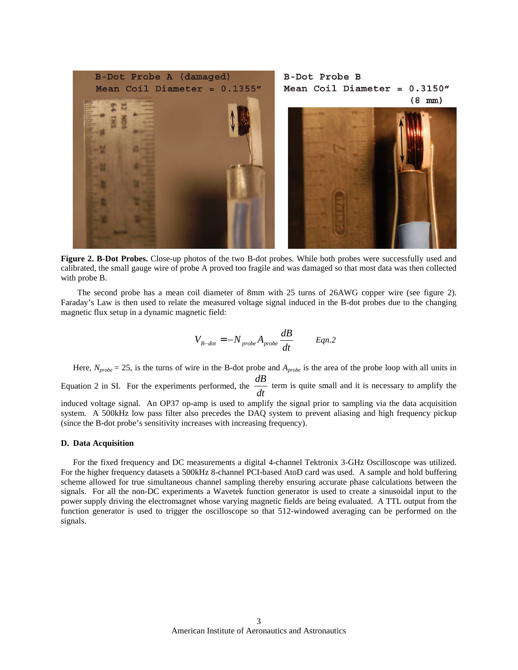

**Figure 2. B-Dot Probes.** Close-up photos of the two B-dot probes. While both probes were successfully used and calibrated, the small gauge wire of probe A proved too fragile and was damaged so that most data was then collected with probe B.

The second probe has a mean coil diameter of 8mm with 25 turns of 26AWG copper wire (see figure 2). Faraday's Law is then used to relate the measured voltage signal induced in the B-dot probes due to the changing magnetic flux setup in a dynamic magnetic field:

$$
V_{B-dot} = -N_{probe} A_{probe} \frac{dB}{dt} \qquad Eqn.2
$$

Here,  $N_{probe} = 25$ , is the turns of wire in the B-dot probe and  $A_{probe}$  is the area of the probe loop with all units in Equation 2 in SI. For the experiments performed, the  $\frac{dE}{dt}$  $\frac{dB}{dt}$  term is quite small and it is necessary to amplify the induced voltage signal. An OP37 op-amp is used to amplify the signal prior to sampling via the data acquisition system. A 500kHz low pass filter also precedes the DAQ system to prevent aliasing and high frequency pickup (since the B-dot probe's sensitivity increases with increasing frequency).

#### **D. Data Acquisition**

For the fixed frequency and DC measurements a digital 4-channel Tektronix 3-GHz Oscilloscope was utilized. For the higher frequency datasets a 500kHz 8-channel PCI-based AtoD card was used. A sample and hold buffering scheme allowed for true simultaneous channel sampling thereby ensuring accurate phase calculations between the signals. For all the non-DC experiments a Wavetek function generator is used to create a sinusoidal input to the power supply driving the electromagnet whose varying magnetic fields are being evaluated. A TTL output from the function generator is used to trigger the oscilloscope so that 512-windowed averaging can be performed on the signals.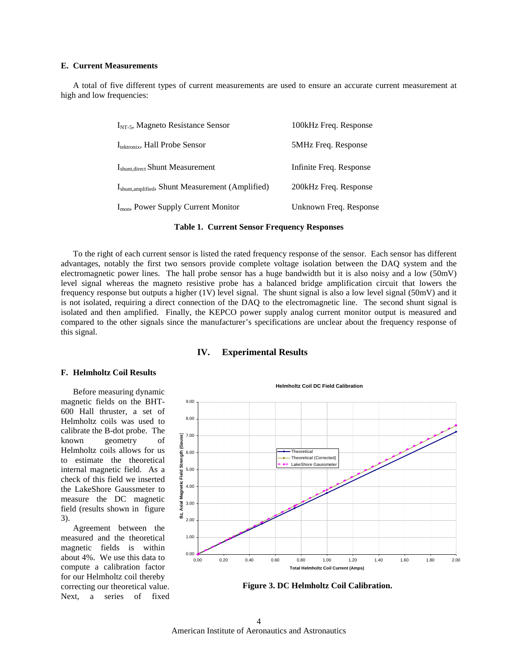## **E. Current Measurements**

A total of five different types of current measurements are used to ensure an accurate current measurement at high and low frequencies:

| $INT-5$ , Magneto Resistance Sensor                           | 100kHz Freq. Response   |
|---------------------------------------------------------------|-------------------------|
| $I_{\text{tektronix}}$ , Hall Probe Sensor                    | 5MHz Freq. Response     |
| I <sub>shunt, direct</sub> Shunt Measurement                  | Infinite Freq. Response |
| I <sub>shunt, amplified</sub> , Shunt Measurement (Amplified) | 200kHz Freq. Response   |
| $I_{\text{mon}}$ , Power Supply Current Monitor               | Unknown Freq. Response  |

#### **Table 1. Current Sensor Frequency Responses**

To the right of each current sensor is listed the rated frequency response of the sensor. Each sensor has different advantages, notably the first two sensors provide complete voltage isolation between the DAQ system and the electromagnetic power lines. The hall probe sensor has a huge bandwidth but it is also noisy and a low (50mV) level signal whereas the magneto resistive probe has a balanced bridge amplification circuit that lowers the frequency response but outputs a higher (1V) level signal. The shunt signal is also a low level signal (50mV) and it is not isolated, requiring a direct connection of the DAQ to the electromagnetic line. The second shunt signal is isolated and then amplified. Finally, the KEPCO power supply analog current monitor output is measured and compared to the other signals since the manufacturer's specifications are unclear about the frequency response of this signal.

#### **IV. Experimental Results**

#### **F. Helmholtz Coil Results**

Before measuring dynamic magnetic fields on the BHT-600 Hall thruster, a set of Helmholtz coils was used to calibrate the B-dot probe. The known geometry of Helmholtz coils allows for us to estimate the theoretical internal magnetic field. As a check of this field we inserted the LakeShore Gaussmeter to measure the DC magnetic field (results shown in figure 3).

Agreement between the measured and the theoretical magnetic fields is within about 4%. We use this data to compute a calibration factor for our Helmholtz coil thereby correcting our theoretical value. Next, a series of fixed

**Helmholtz Coil DC Field Calibration** 9.00 8.00 (Gauss) 7.00 **Bz, Axial Magnetic Field Strength (Gauss) Theoretical** Field Strength 6.00 Theoretical (Corrected) LakeShore Gaussm 5.00 Axial Magnetic 4.00 3.00 8z, 2.00 1.00 0.00 0.00 0.20 0.40 0.60 0.80 1.00 1.20 1.40 1.60 1.80 2.00 **Total Helmholtz Coil Current (Amps)**



American Institute of Aeronautics and Astronautics 4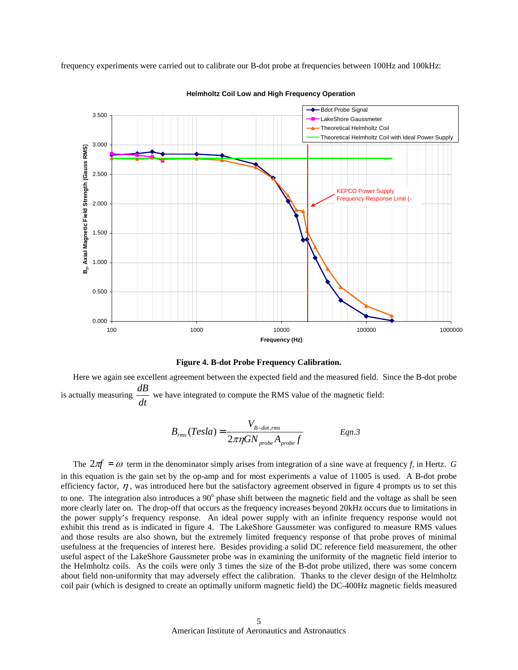frequency experiments were carried out to calibrate our B-dot probe at frequencies between 100Hz and 100kHz:



**Helmholtz Coil Low and High Frequency Operation**

**Figure 4. B-dot Probe Frequency Calibration.**

Here we again see excellent agreement between the expected field and the measured field. Since the B-dot probe is actually measuring  $\frac{dE}{dt}$  $\frac{dB}{dx}$  we have integrated to compute the RMS value of the magnetic field:

$$
B_{rms}(Tesla) = \frac{V_{B-dot,rms}}{2\pi\eta GN_{probe}A_{probe}f}
$$
 Eqn.3

The  $2\pi f = \omega$  term in the denominator simply arises from integration of a sine wave at frequency *f*, in Hertz. *G* in this equation is the gain set by the op-amp and for most experiments a value of 11005 is used. A B-dot probe efficiency factor,  $\eta$ , was introduced here but the satisfactory agreement observed in figure 4 prompts us to set this to one. The integration also introduces a 90<sup>°</sup> phase shift between the magnetic field and the voltage as shall be seen more clearly later on. The drop-off that occurs as the frequency increases beyond 20kHz occurs due to limitations in the power supply's frequency response. An ideal power supply with an infinite frequency response would not exhibit this trend as is indicated in figure 4. The LakeShore Gaussmeter was configured to measure RMS values and those results are also shown, but the extremely limited frequency response of that probe proves of minimal usefulness at the frequencies of interest here. Besides providing a solid DC reference field measurement, the other useful aspect of the LakeShore Gaussmeter probe was in examining the uniformity of the magnetic field interior to the Helmholtz coils. As the coils were only 3 times the size of the B-dot probe utilized, there was some concern about field non-uniformity that may adversely effect the calibration. Thanks to the clever design of the Helmholtz coil pair (which is designed to create an optimally uniform magnetic field) the DC-400Hz magnetic fields measured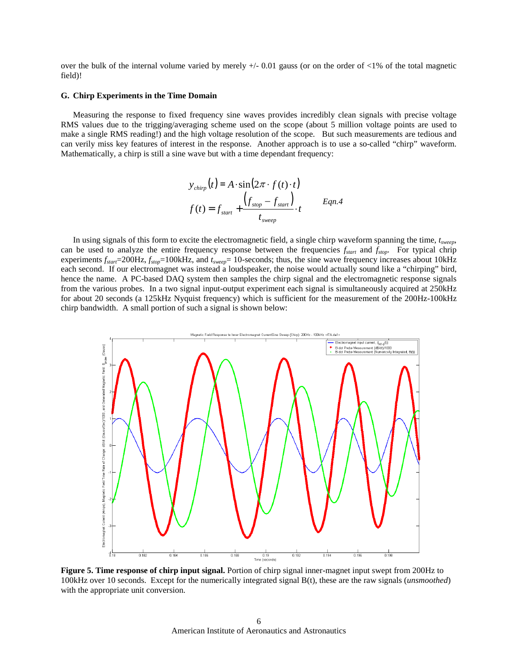over the bulk of the internal volume varied by merely  $+/- 0.01$  gauss (or on the order of  $<1\%$  of the total magnetic field)!

#### **G. Chirp Experiments in the Time Domain**

Measuring the response to fixed frequency sine waves provides incredibly clean signals with precise voltage RMS values due to the trigging/averaging scheme used on the scope (about 5 million voltage points are used to make a single RMS reading!) and the high voltage resolution of the scope. But such measurements are tedious and can verily miss key features of interest in the response. Another approach is to use a so-called "chirp" waveform. Mathematically, a chirp is still a sine wave but with a time dependant frequency:

$$
y_{chirp}(t) = A \cdot \sin(2\pi \cdot f(t) \cdot t)
$$
  

$$
f(t) = f_{start} + \frac{\left(f_{stop} - f_{start}\right)}{t_{sweep}} \cdot t
$$
 Eqn.4

In using signals of this form to excite the electromagnetic field, a single chirp waveform spanning the time, *tsweep*, can be used to analyze the entire frequency response between the frequencies *fstart* and *fstop*. For typical chrip experiments  $f_{star}$ =200Hz,  $f_{stop}$ =100kHz, and  $t_{sweep}$ = 10-seconds; thus, the sine wave frequency increases about 10kHz each second. If our electromagnet was instead a loudspeaker, the noise would actually sound like a "chirping" bird, hence the name. A PC-based DAQ system then samples the chirp signal and the electromagnetic response signals from the various probes. In a two signal input-output experiment each signal is simultaneously acquired at 250kHz for about 20 seconds (a 125kHz Nyquist frequency) which is sufficient for the measurement of the 200Hz-100kHz chirp bandwidth. A small portion of such a signal is shown below:



**Figure 5. Time response of chirp input signal.** Portion of chirp signal inner-magnet input swept from 200Hz to 100kHz over 10 seconds. Except for the numerically integrated signal B(t), these are the raw signals (*unsmoothed*) with the appropriate unit conversion.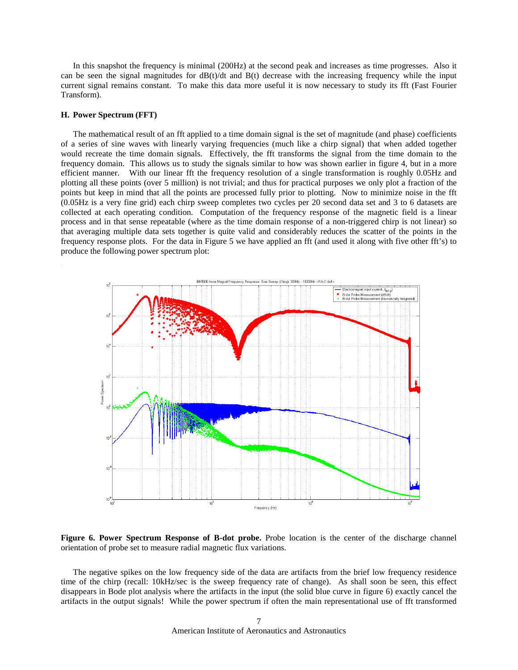In this snapshot the frequency is minimal (200Hz) at the second peak and increases as time progresses. Also it can be seen the signal magnitudes for  $dB(t)/dt$  and  $B(t)$  decrease with the increasing frequency while the input current signal remains constant. To make this data more useful it is now necessary to study its fft (Fast Fourier Transform).

#### **H. Power Spectrum (FFT)**

The mathematical result of an fft applied to a time domain signal is the set of magnitude (and phase) coefficients of a series of sine waves with linearly varying frequencies (much like a chirp signal) that when added together would recreate the time domain signals. Effectively, the fft transforms the signal from the time domain to the frequency domain. This allows us to study the signals similar to how was shown earlier in figure 4, but in a more efficient manner. With our linear fft the frequency resolution of a single transformation is roughly 0.05Hz and plotting all these points (over 5 million) is not trivial; and thus for practical purposes we only plot a fraction of the points but keep in mind that all the points are processed fully prior to plotting. Now to minimize noise in the fft (0.05Hz is a very fine grid) each chirp sweep completes two cycles per 20 second data set and 3 to 6 datasets are collected at each operating condition. Computation of the frequency response of the magnetic field is a linear process and in that sense repeatable (where as the time domain response of a non-triggered chirp is not linear) so that averaging multiple data sets together is quite valid and considerably reduces the scatter of the points in the frequency response plots. For the data in Figure 5 we have applied an fft (and used it along with five other fft's) to produce the following power spectrum plot:



**Figure 6. Power Spectrum Response of B-dot probe.** Probe location is the center of the discharge channel orientation of probe set to measure radial magnetic flux variations.

The negative spikes on the low frequency side of the data are artifacts from the brief low frequency residence time of the chirp (recall: 10kHz/sec is the sweep frequency rate of change). As shall soon be seen, this effect disappears in Bode plot analysis where the artifacts in the input (the solid blue curve in figure 6) exactly cancel the artifacts in the output signals! While the power spectrum if often the main representational use of fft transformed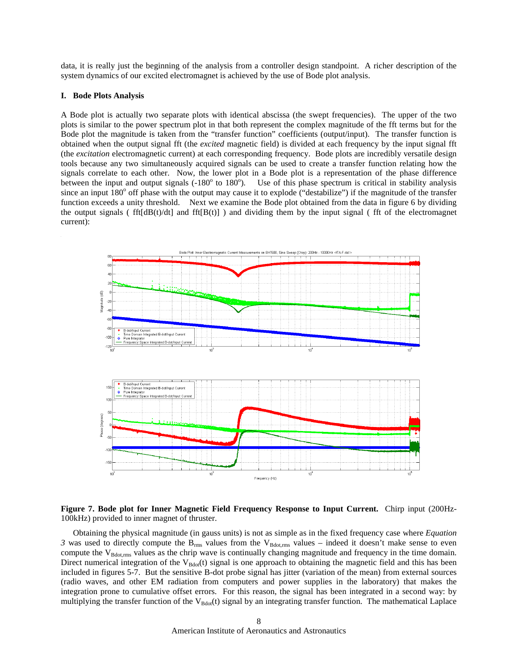data, it is really just the beginning of the analysis from a controller design standpoint. A richer description of the system dynamics of our excited electromagnet is achieved by the use of Bode plot analysis.

### **I. Bode Plots Analysis**

A Bode plot is actually two separate plots with identical abscissa (the swept frequencies). The upper of the two plots is similar to the power spectrum plot in that both represent the complex magnitude of the fft terms but for the Bode plot the magnitude is taken from the "transfer function" coefficients (output/input). The transfer function is obtained when the output signal fft (the *excited* magnetic field) is divided at each frequency by the input signal fft (the *excitation* electromagnetic current) at each corresponding frequency. Bode plots are incredibly versatile design tools because any two simultaneously acquired signals can be used to create a transfer function relating how the signals correlate to each other. Now, the lower plot in a Bode plot is a representation of the phase difference between the input and output signals  $(-180^\circ)$  to  $180^\circ$ ). Use of this phase spectrum is critical in stability analysis since an input  $180^\circ$  off phase with the output may cause it to explode ("destabilize") if the magnitude of the transfer function exceeds a unity threshold. Next we examine the Bode plot obtained from the data in figure 6 by dividing the output signals ( fft[dB(t)/dt] and fft[B(t)] ) and dividing them by the input signal ( fft of the electromagnet current):



## **Figure 7. Bode plot for Inner Magnetic Field Frequency Response to Input Current.** Chirp input (200Hz-100kHz) provided to inner magnet of thruster.

Obtaining the physical magnitude (in gauss units) is not as simple as in the fixed frequency case where *Equation 3* was used to directly compute the  $B_{rms}$  values from the  $V_{Bdot,rms}$  values – indeed it doesn't make sense to even compute the  $V_{\text{Bdot,rms}}$  values as the chrip wave is continually changing magnitude and frequency in the time domain. Direct numerical integration of the  $V_{Bdot}(t)$  signal is one approach to obtaining the magnetic field and this has been included in figures 5-7. But the sensitive B-dot probe signal has jitter (variation of the mean) from external sources (radio waves, and other EM radiation from computers and power supplies in the laboratory) that makes the integration prone to cumulative offset errors. For this reason, the signal has been integrated in a second way: by multiplying the transfer function of the  $V_{Bdot}(t)$  signal by an integrating transfer function. The mathematical Laplace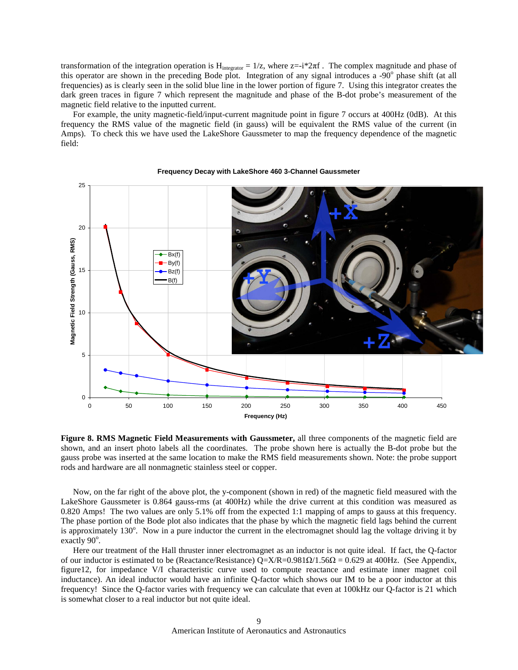transformation of the integration operation is  $H_{interator} = 1/z$ , where  $z = -i \times 2\pi f$ . The complex magnitude and phase of this operator are shown in the preceding Bode plot. Integration of any signal introduces a  $-90^\circ$  phase shift (at all frequencies) as is clearly seen in the solid blue line in the lower portion of figure 7. Using this integrator creates the dark green traces in figure 7 which represent the magnitude and phase of the B-dot probe's measurement of the magnetic field relative to the inputted current.

For example, the unity magnetic-field/input-current magnitude point in figure 7 occurs at 400Hz (0dB). At this frequency the RMS value of the magnetic field (in gauss) will be equivalent the RMS value of the current (in Amps). To check this we have used the LakeShore Gaussmeter to map the frequency dependence of the magnetic field:



#### **Frequency Decay with LakeShore 460 3-Channel Gaussmeter**

**Figure 8. RMS Magnetic Field Measurements with Gaussmeter,** all three components of the magnetic field are shown, and an insert photo labels all the coordinates. The probe shown here is actually the B-dot probe but the gauss probe was inserted at the same location to make the RMS field measurements shown. Note: the probe support rods and hardware are all nonmagnetic stainless steel or copper.

Now, on the far right of the above plot, the y-component (shown in red) of the magnetic field measured with the LakeShore Gaussmeter is 0.864 gauss-rms (at 400Hz) while the drive current at this condition was measured as 0.820 Amps! The two values are only 5.1% off from the expected 1:1 mapping of amps to gauss at this frequency. The phase portion of the Bode plot also indicates that the phase by which the magnetic field lags behind the current is approximately 130°. Now in a pure inductor the current in the electromagnet should lag the voltage driving it by exactly 90°.

Here our treatment of the Hall thruster inner electromagnet as an inductor is not quite ideal. If fact, the Q-factor of our inductor is estimated to be (Reactance/Resistance)  $Q=X/R=0.981\Omega/1.56\Omega = 0.629$  at 400Hz. (See Appendix, figure12, for impedance V/I characteristic curve used to compute reactance and estimate inner magnet coil inductance). An ideal inductor would have an infinite Q-factor which shows our IM to be a poor inductor at this frequency! Since the Q-factor varies with frequency we can calculate that even at 100kHz our Q-factor is 21 which is somewhat closer to a real inductor but not quite ideal.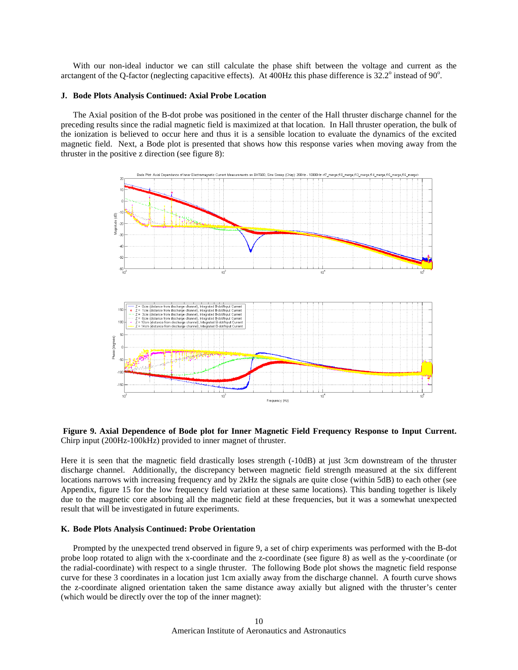With our non-ideal inductor we can still calculate the phase shift between the voltage and current as the arctangent of the Q-factor (neglecting capacitive effects). At 400Hz this phase difference is  $32.2^{\circ}$  instead of 90 $^{\circ}$ .

### **J. Bode Plots Analysis Continued: Axial Probe Location**

The Axial position of the B-dot probe was positioned in the center of the Hall thruster discharge channel for the preceding results since the radial magnetic field is maximized at that location. In Hall thruster operation, the bulk of the ionization is believed to occur here and thus it is a sensible location to evaluate the dynamics of the excited magnetic field. Next, a Bode plot is presented that shows how this response varies when moving away from the thruster in the positive z direction (see figure 8):



**Figure 9. Axial Dependence of Bode plot for Inner Magnetic Field Frequency Response to Input Current.** Chirp input (200Hz-100kHz) provided to inner magnet of thruster.

Here it is seen that the magnetic field drastically loses strength (-10dB) at just 3cm downstream of the thruster discharge channel. Additionally, the discrepancy between magnetic field strength measured at the six different locations narrows with increasing frequency and by 2kHz the signals are quite close (within 5dB) to each other (see Appendix, figure 15 for the low frequency field variation at these same locations). This banding together is likely due to the magnetic core absorbing all the magnetic field at these frequencies, but it was a somewhat unexpected result that will be investigated in future experiments.

#### **K. Bode Plots Analysis Continued: Probe Orientation**

Prompted by the unexpected trend observed in figure 9, a set of chirp experiments was performed with the B-dot probe loop rotated to align with the x-coordinate and the z-coordinate (see figure 8) as well as the y-coordinate (or the radial-coordinate) with respect to a single thruster. The following Bode plot shows the magnetic field response curve for these 3 coordinates in a location just 1cm axially away from the discharge channel. A fourth curve shows the z-coordinate aligned orientation taken the same distance away axially but aligned with the thruster's center (which would be directly over the top of the inner magnet):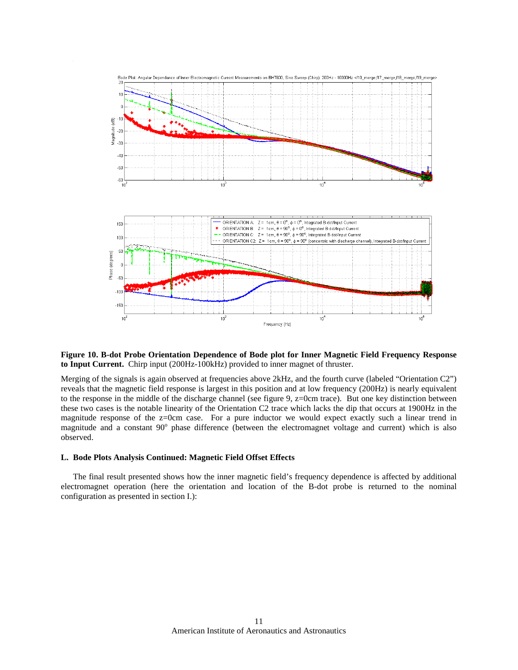

## **Figure 10. B-dot Probe Orientation Dependence of Bode plot for Inner Magnetic Field Frequency Response to Input Current.** Chirp input (200Hz-100kHz) provided to inner magnet of thruster.

Merging of the signals is again observed at frequencies above 2kHz, and the fourth curve (labeled "Orientation C2") reveals that the magnetic field response is largest in this position and at low frequency (200Hz) is nearly equivalent to the response in the middle of the discharge channel (see figure 9, z=0cm trace). But one key distinction between these two cases is the notable linearity of the Orientation C2 trace which lacks the dip that occurs at 1900Hz in the magnitude response of the z=0cm case. For a pure inductor we would expect exactly such a linear trend in magnitude and a constant  $90^\circ$  phase difference (between the electromagnet voltage and current) which is also observed.

#### **L. Bode Plots Analysis Continued: Magnetic Field Offset Effects**

The final result presented shows how the inner magnetic field's frequency dependence is affected by additional electromagnet operation (here the orientation and location of the B-dot probe is returned to the nominal configuration as presented in section I.):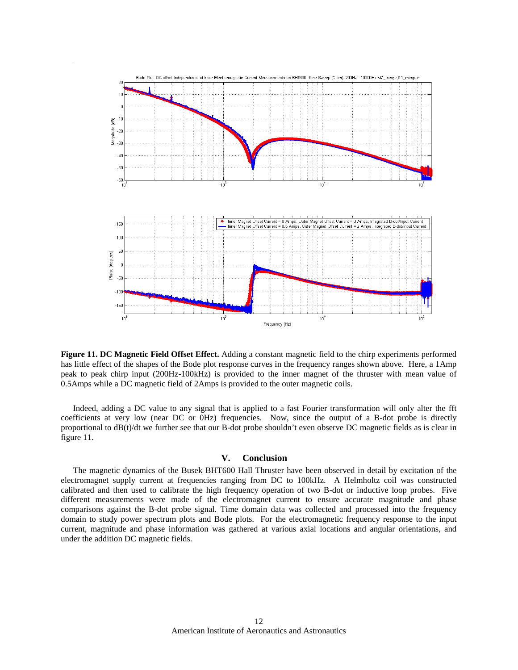

**Figure 11. DC Magnetic Field Offset Effect.** Adding a constant magnetic field to the chirp experiments performed has little effect of the shapes of the Bode plot response curves in the frequency ranges shown above. Here, a 1Amp peak to peak chirp input (200Hz-100kHz) is provided to the inner magnet of the thruster with mean value of 0.5Amps while a DC magnetic field of 2Amps is provided to the outer magnetic coils.

Indeed, adding a DC value to any signal that is applied to a fast Fourier transformation will only alter the fft coefficients at very low (near DC or 0Hz) frequencies. Now, since the output of a B-dot probe is directly proportional to dB(t)/dt we further see that our B-dot probe shouldn't even observe DC magnetic fields as is clear in figure 11.

## **V. Conclusion**

The magnetic dynamics of the Busek BHT600 Hall Thruster have been observed in detail by excitation of the electromagnet supply current at frequencies ranging from DC to 100kHz. A Helmholtz coil was constructed calibrated and then used to calibrate the high frequency operation of two B-dot or inductive loop probes. Five different measurements were made of the electromagnet current to ensure accurate magnitude and phase comparisons against the B-dot probe signal. Time domain data was collected and processed into the frequency domain to study power spectrum plots and Bode plots. For the electromagnetic frequency response to the input current, magnitude and phase information was gathered at various axial locations and angular orientations, and under the addition DC magnetic fields.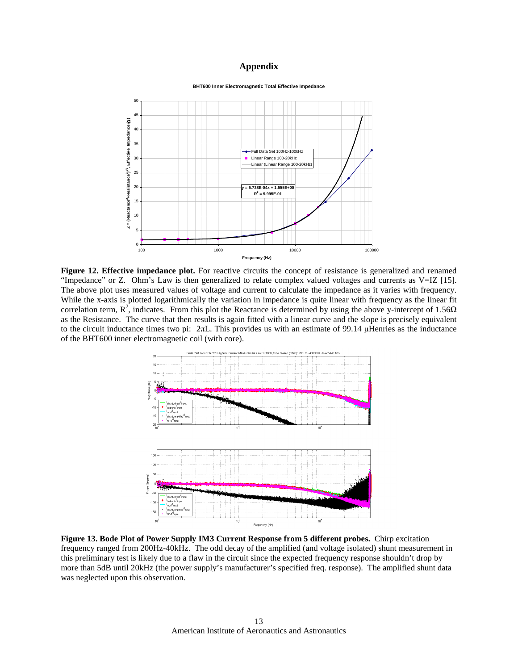## **Appendix**



**Figure 12. Effective impedance plot.** For reactive circuits the concept of resistance is generalized and renamed "Impedance" or Z. Ohm's Law is then generalized to relate complex valued voltages and currents as V=IZ [15]. The above plot uses measured values of voltage and current to calculate the impedance as it varies with frequency. While the x-axis is plotted logarithmically the variation in impedance is quite linear with frequency as the linear fit correlation term,  $R^2$ , indicates. From this plot the Reactance is determined by using the above y-intercept of 1.56 $\Omega$ as the Resistance. The curve that then results is again fitted with a linear curve and the slope is precisely equivalent to the circuit inductance times two pi:  $2\pi L$ . This provides us with an estimate of 99.14 µHenries as the inductance of the BHT600 inner electromagnetic coil (with core).



**Figure 13. Bode Plot of Power Supply IM3 Current Response from 5 different probes.** Chirp excitation frequency ranged from 200Hz-40kHz. The odd decay of the amplified (and voltage isolated) shunt measurement in this preliminary test is likely due to a flaw in the circuit since the expected frequency response shouldn't drop by more than 5dB until 20kHz (the power supply's manufacturer's specified freq. response). The amplified shunt data was neglected upon this observation.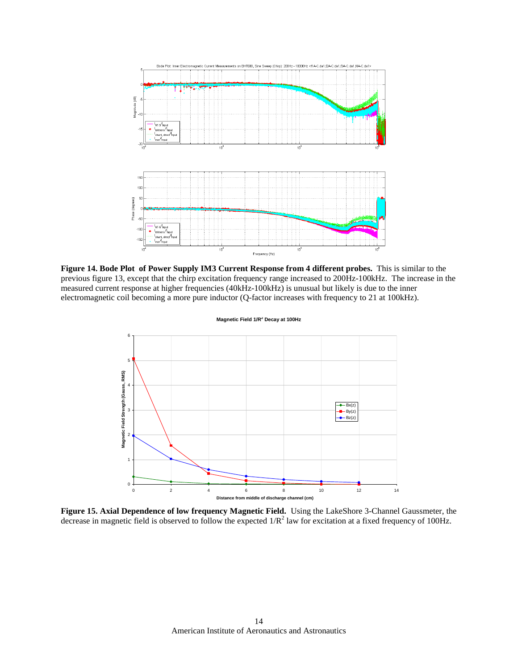

**Figure 14. Bode Plot of Power Supply IM3 Current Response from 4 different probes.** This is similar to the previous figure 13, except that the chirp excitation frequency range increased to 200Hz-100kHz. The increase in the measured current response at higher frequencies (40kHz-100kHz) is unusual but likely is due to the inner electromagnetic coil becoming a more pure inductor (Q-factor increases with frequency to 21 at 100kHz).



**Figure 15. Axial Dependence of low frequency Magnetic Field.** Using the LakeShore 3-Channel Gaussmeter, the decrease in magnetic field is observed to follow the expected  $1/R^2$  law for excitation at a fixed frequency of 100Hz.